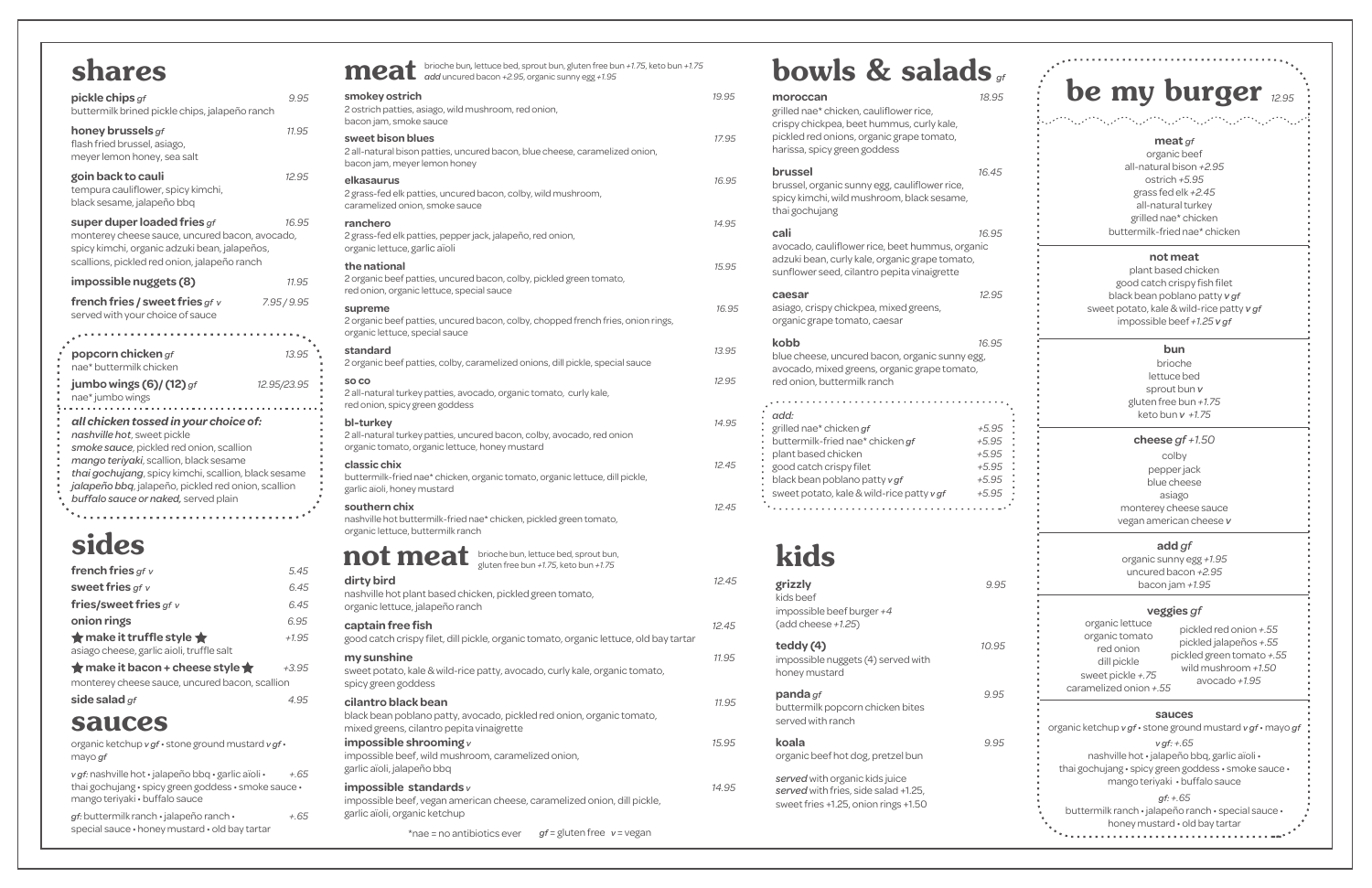**my sunshine** *11.95* sweet potato, kale & wild-rice patty, avocado, curly kale, organic tomato, spicy green goddess

#### **cilantro black bean** *11.95*

black bean poblano patty, avocado, pickled red onion, organic tomato, mixed greens, cilantro pepita vinaigrette **impossible shrooming** *v**15.95*

impossible beef, wild mushroom, caramelized onion, garlic aïoli, jalapeño bbq

#### **impossible standards** *v**14.95* impossible beef, vegan american cheese, caramelized onion, dill pickle, garlic aïoli, organic ketchup

### bowls & salads *gf*

|                                                                                                  | meat brioche bun, lettuce bed, sprout bun, gluten free bun +1.75, keto bun +1.75<br>add uncured bacon +2.95, organic sunny egg +1.95 |       |
|--------------------------------------------------------------------------------------------------|--------------------------------------------------------------------------------------------------------------------------------------|-------|
| smokey ostrich<br>2 ostrich patties, asiago, wild mushroom, red onion,<br>bacon jam, smoke sauce |                                                                                                                                      | 19.95 |
| sweet bison blues<br>bacon jam, meyer lemon honey                                                | 2 all-natural bison patties, uncured bacon, blue cheese, caramelized onion,                                                          | 17.95 |
| elkasaurus<br>caramelized onion, smoke sauce                                                     | 2 grass-fed elk patties, uncured bacon, colby, wild mushroom,                                                                        | 16.95 |
| ranchero<br>organic lettuce, garlic aïoli                                                        | 2 grass-fed elk patties, pepper jack, jalapeño, red onion,                                                                           | 14.95 |
| the national<br>red onion, organic lettuce, special sauce                                        | 2 organic beef patties, uncured bacon, colby, pickled green tomato,                                                                  | 15.95 |
| supreme<br>organic lettuce, special sauce                                                        | 2 organic beef patties, uncured bacon, colby, chopped french fries, onion rings,                                                     | 16.95 |
| standard                                                                                         | 2 organic beef patties, colby, caramelized onions, dill pickle, special sauce                                                        | 13.95 |
| SO <sub>CO</sub><br>red onion, spicy green goddess                                               | 2 all-natural turkey patties, avocado, organic tomato, curly kale,                                                                   | 12.95 |
| bl-turkey<br>organic tomato, organic lettuce, honey mustard                                      | 2 all-natural turkey patties, uncured bacon, colby, avocado, red onion                                                               | 14.95 |
| classic chix<br>garlic aïoli, honey mustard                                                      | buttermilk-fried nae* chicken, organic tomato, organic lettuce, dill pickle,                                                         | 12.45 |
| southern chix<br>organic lettuce, buttermilk ranch                                               | nashville hot buttermilk-fried nae* chicken, pickled green tomato,                                                                   | 12.45 |
|                                                                                                  | not meat brioche bun, lettuce bed, sprout bun,<br>gluten free bun +1.75, keto bun +1.75                                              |       |
| dirty bird<br>organic lettuce, jalapeño ranch                                                    | nashville hot plant based chicken, pickled green tomato,                                                                             | 12.45 |
| captain free fish                                                                                | good catch crispy filet, dill pickle, organic tomato, organic lettuce, old bay tartar                                                | 12.45 |

thai gochujang • spicy green goddess • smoke sauce • mango teriyaki · buffalo sauce

| 5<br>5 | moroccan<br>grilled nae* chicken, cauliflower rice,<br>crispy chickpea, beet hummus, curly kale,<br>pickled red onions, organic grape tomato,            | 18.95                         |
|--------|----------------------------------------------------------------------------------------------------------------------------------------------------------|-------------------------------|
| 5      | harissa, spicy green goddess<br>brussel<br>brussel, organic sunny egg, cauliflower rice,<br>spicy kimchi, wild mushroom, black sesame,<br>thai gochujang | 16.45                         |
| 5      | cali                                                                                                                                                     | 16.95                         |
| 5      | avocado, cauliflower rice, beet hummus, organic<br>adzuki bean, curly kale, organic grape tomato,<br>sunflower seed, cilantro pepita vinaigrette         |                               |
| 95     | caesar<br>asiago, crispy chickpea, mixed greens,<br>organic grape tomato, caesar                                                                         | 12.95                         |
| 5<br>5 | kobb<br>blue cheese, uncured bacon, organic sunny egg,<br>avocado, mixed greens, organic grape tomato,<br>red onion, buttermilk ranch                    | 16.95                         |
| 15     | add:<br>grilled nae* chicken gf<br>buttermilk-fried nae* chicken gf<br>plant based chicken                                                               | $+5.95$<br>$+5.95$<br>$+5.95$ |
| 5      | good catch crispy filet<br>black bean poblano patty v gf<br>sweet potato, kale & wild-rice patty v gf                                                    | $+5.95$<br>$+5.95$<br>$+5.95$ |
| 5      |                                                                                                                                                          |                               |
|        | kids                                                                                                                                                     |                               |
| 5      | grizzly<br>kids beef                                                                                                                                     | 9.95                          |

*v gf:* nashville hot • jalapeño bbq • garlic aïoli • *+.65* thai gochujang • spicy green goddess • smoke sauce • mango teriyaki · buffalo sauce

\*nae = no antibiotics ever *gf* = gluten free *v* = vegan

#### **meat** *gf*

organic beef all-natural bison *+2.95* ostrich *+5.95* grass fed elk *+2.45*  all-natural turkey grilled nae\* chicken buttermilk-fried nae\* chicken

#### **not meat**

plant based chicken good catch crispy fish filet black bean poblano patty *v gf*  sweet potato, kale & wild-rice patty *v gf*  impossible beef *+1.25 v gf*

#### **bun**

brioche lettuce bed sprout bun *v*  gluten free bun *+1.75* keto bun *v +1.75*

#### **cheese** *gf +1.50*

colby pepper jack blue cheese asiago monterey cheese sauce vegan american cheese *v*

#### **add** *gf*

organic sunny egg *+1.95* uncured bacon *+2.95* bacon jam *+1.95*

#### **veggies** *gf*

#### **sauces**

organic ketchup *v gf* • stone ground mustard *v gf* • mayo *gf*

*v gf: +.65* 

nashville hot • jalapeño bbq, garlic aïoli •

#### *gf: +.65*

buttermilk ranch • jalapeño ranch • special sauce •

honey mustard • old bay tartar



| <b>SLIZZIA</b><br>kids beef<br>impossible beef burger $+4$<br>(add cheese $+1.25$ )                            | У.У5  |
|----------------------------------------------------------------------------------------------------------------|-------|
| teddy (4)<br>impossible nuggets (4) served with<br>honey mustard                                               | 10.95 |
| <b>panda</b> gf<br>buttermilk popcorn chicken bites<br>served with ranch                                       | 9.95  |
| koala<br>organic beef hot dog, pretzel bun                                                                     | 9.95  |
| served with organic kids juice<br>served with fries, side salad +1.25,<br>sweet fries +1.25, onion rings +1.50 |       |

pickled red onion *+.55* pickled jalapeños *+.55* pickled green tomato *+.55* wild mushroom *+1.50* avocado *+1.95*

organic lettuce organic tomato red onion dill pickle sweet pickle *+.75* caramelized onion *+.55*

### shares

### sides

| french fries $gf v$                                | 5.45    |
|----------------------------------------------------|---------|
| sweet fries $gf v$                                 | 6.45    |
| fries/sweet fries $gf v$                           | 6.45    |
| onion rings                                        | 6.95    |
| $\bigstar$ make it truffle style $\bigstar$        | $+1.95$ |
| asiago cheese, garlic aioli, truffle salt          |         |
| $\bigstar$ make it bacon + cheese style $\bigstar$ | $+3.95$ |
| monterey cheese sauce, uncured bacon, scallion     |         |
| side salad $gf$                                    | 95      |

. . . . . . . . . . . . . . . . . . . .

|  | side salad gf |  |  |
|--|---------------|--|--|
|  |               |  |  |

| pickle chips gf<br>buttermilk brined pickle chips, jalapeño ranch                                                                                                                                                                                                                                                 | 9.95        |
|-------------------------------------------------------------------------------------------------------------------------------------------------------------------------------------------------------------------------------------------------------------------------------------------------------------------|-------------|
| honey brussels $gf$<br>flash fried brussel, asiago,<br>meyer lemon honey, sea salt                                                                                                                                                                                                                                | 11.95       |
| goin back to cauli<br>tempura cauliflower, spicy kimchi,<br>black sesame, jalapeño bbq                                                                                                                                                                                                                            | 12.95       |
| super duper loaded fries $gf$<br>monterey cheese sauce, uncured bacon, avocado,<br>spicy kimchi, organic adzuki bean, jalapeños,<br>scallions, pickled red onion, jalapeño ranch                                                                                                                                  | 16.95       |
| impossible nuggets (8)                                                                                                                                                                                                                                                                                            | 11.95       |
| french fries / sweet fries $gf v$<br>served with your choice of sauce                                                                                                                                                                                                                                             | 7.95/9.95   |
| popcorn chicken $gf$<br>nae* buttermilk chicken                                                                                                                                                                                                                                                                   | 13.95       |
| jumbo wings $(6)$ / $(12)$ gf<br>nae* jumbo wings                                                                                                                                                                                                                                                                 | 12.95/23.95 |
| all chicken tossed in your choice of:<br>nashville hot, sweet pickle<br>smoke sauce, pickled red onion, scallion<br>mango teriyaki, scallion, black sesame<br>thai gochujang, spicy kimchi, scallion, black sesame<br>jalapeño bbq, jalapeño, pickled red onion, scallion<br>buffalo sauce or naked, served plain |             |

### sauces

organic ketchup *v gf* • stone ground mustard *v gf* • mayo *gf*

*gf:* buttermilk ranch • jalapeño ranch • *+.65* special sauce • honey mustard • old bay tartar